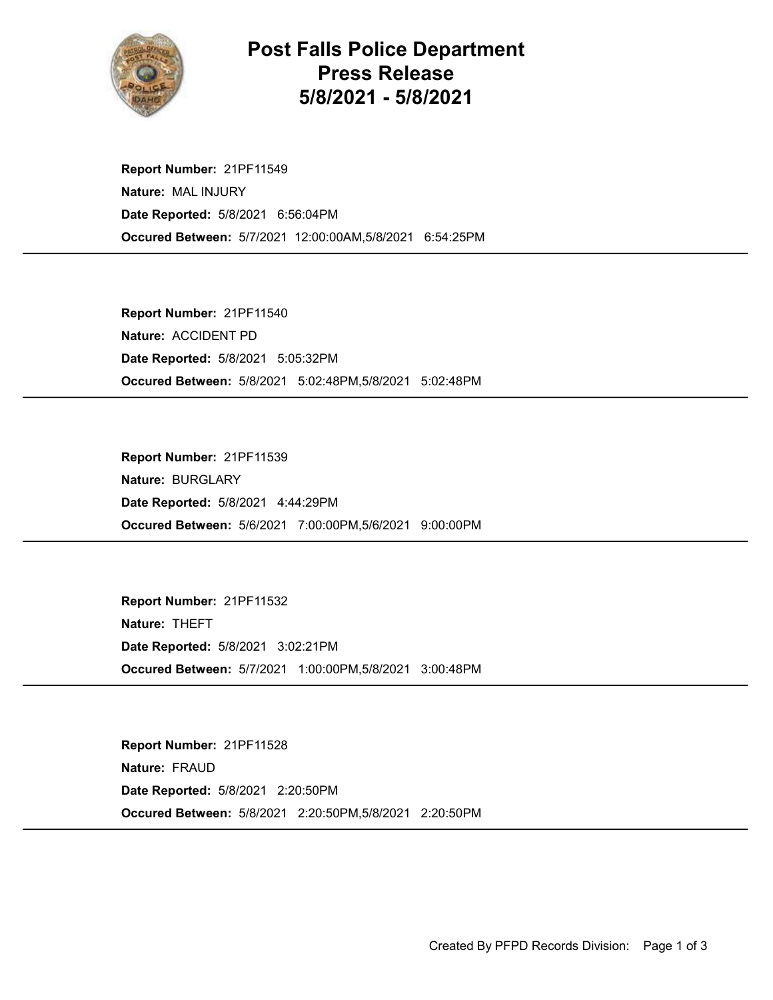

## Post Falls Police Department Press Release 5/8/2021 - 5/8/2021

Occured Between: 5/7/2021 12:00:00AM,5/8/2021 6:54:25PM Report Number: 21PF11549 Nature: MAL INJURY Date Reported: 5/8/2021 6:56:04PM

Occured Between: 5/8/2021 5:02:48PM,5/8/2021 5:02:48PM Report Number: 21PF11540 Nature: ACCIDENT PD Date Reported: 5/8/2021 5:05:32PM

Occured Between: 5/6/2021 7:00:00PM,5/6/2021 9:00:00PM Report Number: 21PF11539 Nature: BURGLARY Date Reported: 5/8/2021 4:44:29PM

Occured Between: 5/7/2021 1:00:00PM,5/8/2021 3:00:48PM Report Number: 21PF11532 Nature: THEFT Date Reported: 5/8/2021 3:02:21PM

Occured Between: 5/8/2021 2:20:50PM,5/8/2021 2:20:50PM Report Number: 21PF11528 Nature: FRAUD Date Reported: 5/8/2021 2:20:50PM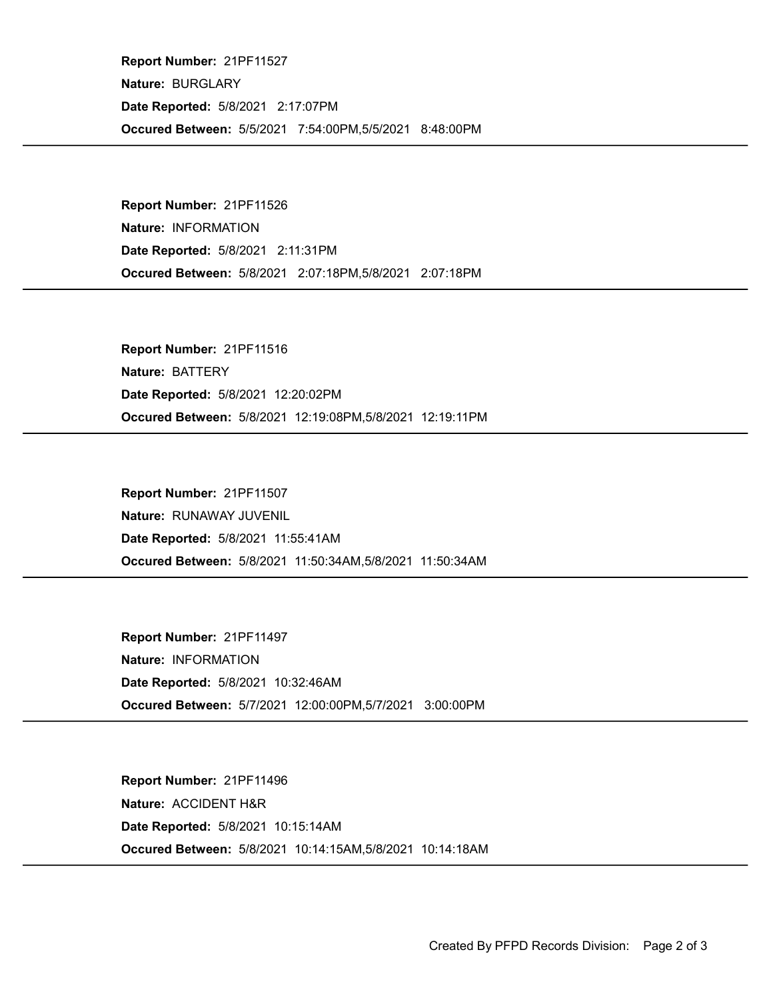Occured Between: 5/5/2021 7:54:00PM,5/5/2021 8:48:00PM Report Number: 21PF11527 Nature: BURGLARY Date Reported: 5/8/2021 2:17:07PM

Occured Between: 5/8/2021 2:07:18PM,5/8/2021 2:07:18PM Report Number: 21PF11526 Nature: INFORMATION Date Reported: 5/8/2021 2:11:31PM

Occured Between: 5/8/2021 12:19:08PM,5/8/2021 12:19:11PM Report Number: 21PF11516 Nature: BATTERY Date Reported: 5/8/2021 12:20:02PM

Occured Between: 5/8/2021 11:50:34AM,5/8/2021 11:50:34AM Report Number: 21PF11507 Nature: RUNAWAY JUVENIL Date Reported: 5/8/2021 11:55:41AM

Occured Between: 5/7/2021 12:00:00PM,5/7/2021 3:00:00PM Report Number: 21PF11497 Nature: INFORMATION Date Reported: 5/8/2021 10:32:46AM

Occured Between: 5/8/2021 10:14:15AM,5/8/2021 10:14:18AM Report Number: 21PF11496 Nature: ACCIDENT H&R Date Reported: 5/8/2021 10:15:14AM